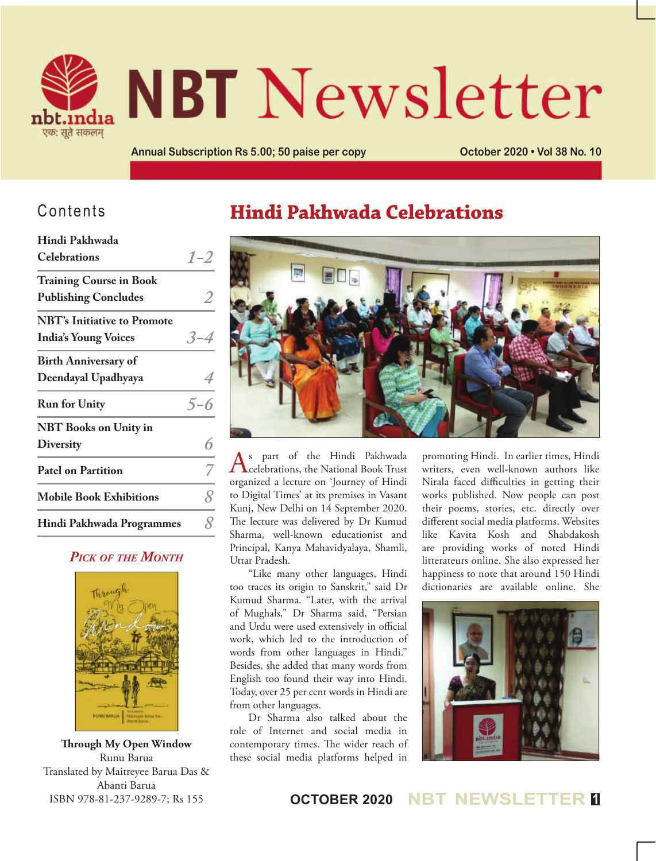

# **NBT** Newsletter

**Annual Subscription Rs 5.00; 50 paise per copy October 2020 • Vol 38 No. 10**

## Contents

| <b>Celebrations</b><br><b>Training Course in Book</b><br><b>Publishing Concludes</b><br><b>NBT's Initiative to Promote</b><br><b>India's Young Voices</b><br><b>Birth Anniversary of</b><br>Deendayal Upadhyaya<br><b>Run for Unity</b><br><b>NBT</b> Books on Unity in<br><b>Diversity</b><br><b>Patel on Partition</b><br><b>Mobile Book Exhibitions</b><br>Hindi Pakhwada Programmes | Hindi Pakhwada |          |
|-----------------------------------------------------------------------------------------------------------------------------------------------------------------------------------------------------------------------------------------------------------------------------------------------------------------------------------------------------------------------------------------|----------------|----------|
|                                                                                                                                                                                                                                                                                                                                                                                         |                | $1 - 2$  |
|                                                                                                                                                                                                                                                                                                                                                                                         |                |          |
|                                                                                                                                                                                                                                                                                                                                                                                         |                |          |
|                                                                                                                                                                                                                                                                                                                                                                                         |                |          |
|                                                                                                                                                                                                                                                                                                                                                                                         |                | $-3 - 4$ |
|                                                                                                                                                                                                                                                                                                                                                                                         |                |          |
|                                                                                                                                                                                                                                                                                                                                                                                         |                |          |
|                                                                                                                                                                                                                                                                                                                                                                                         |                | $5 - 6$  |
|                                                                                                                                                                                                                                                                                                                                                                                         |                |          |
|                                                                                                                                                                                                                                                                                                                                                                                         |                | 6        |
|                                                                                                                                                                                                                                                                                                                                                                                         |                |          |
|                                                                                                                                                                                                                                                                                                                                                                                         |                | 8        |
|                                                                                                                                                                                                                                                                                                                                                                                         |                | 8        |

### *Pick of the Month*



**Through My Open Window** Runu Barua Translated by Maitreyee Barua Das & Abanti Barua ISBN 978-81-237-9289-7; Rs 155

# **Hindi Pakhwada Celebrations**



As part of the Hindi Pakhwada **L**celebrations, the National Book Trust organized a lecture on 'Journey of Hindi to Digital Times' at its premises in Vasant Kunj, New Delhi on 14 September 2020. The lecture was delivered by Dr Kumud Sharma, well-known educationist and Principal, Kanya Mahavidyalaya, Shamli, Uttar Pradesh.

"Like many other languages, Hindi too traces its origin to Sanskrit," said Dr Kumud Sharma. "Later, with the arrival of Mughals," Dr Sharma said, "Persian and Urdu were used extensively in official work, which led to the introduction of words from other languages in Hindi." Besides, she added that many words from English too found their way into Hindi. Today, over 25 per cent words in Hindi are from other languages.

Dr Sharma also talked about the role of Internet and social media in contemporary times. The wider reach of these social media platforms helped in promoting Hindi. In earlier times, Hindi writers, even well-known authors like Nirala faced difficulties in getting their works published. Now people can post their poems, stories, etc. directly over different social media platforms. Websites like Kavita Kosh and Shabdakosh are providing works of noted Hindi litterateurs online. She also expressed her happiness to note that around 150 Hindi dictionaries are available online. She



## **OCTOBER 2020 NBT NEWSLETTER <sup>1</sup>**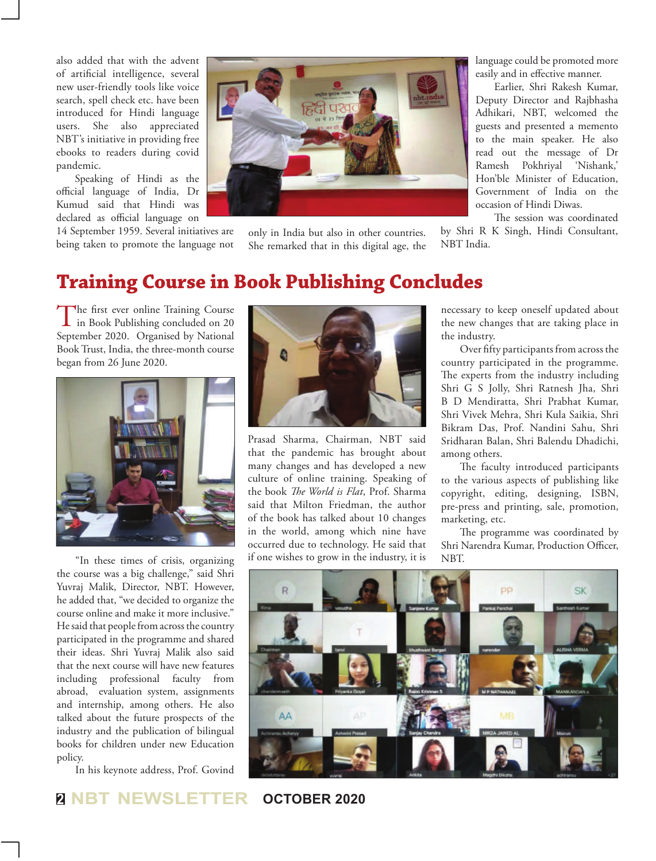also added that with the advent of artificial intelligence, several new user-friendly tools like voice search, spell check etc. have been introduced for Hindi language users. She also appreciated NBT's initiative in providing free ebooks to readers during covid pandemic.

Speaking of Hindi as the official language of India, Dr Kumud said that Hindi was declared as official language on

14 September 1959. Several initiatives are being taken to promote the language not



only in India but also in other countries. She remarked that in this digital age, the language could be promoted more easily and in effective manner.

Earlier, Shri Rakesh Kumar, Deputy Director and Rajbhasha Adhikari, NBT, welcomed the guests and presented a memento to the main speaker. He also read out the message of Dr Ramesh Pokhriyal 'Nishank,' Hon'ble Minister of Education, Government of India on the occasion of Hindi Diwas.

The session was coordinated by Shri R K Singh, Hindi Consultant, NBT India.

## **Training Course in Book Publishing Concludes**

The first ever online Training Course<br>in Book Publishing concluded on 20 September 2020. Organised by National Book Trust, India, the three-month course began from 26 June 2020.



the course was a big challenge," said Shri Yuvraj Malik, Director, NBT. However, he added that, "we decided to organize the course online and make it more inclusive." He said that people from across the country participated in the programme and shared their ideas. Shri Yuvraj Malik also said that the next course will have new features including professional faculty from abroad, evaluation system, assignments and internship, among others. He also talked about the future prospects of the industry and the publication of bilingual books for children under new Education policy.

In his keynote address, Prof. Govind



Prasad Sharma, Chairman, NBT said that the pandemic has brought about many changes and has developed a new culture of online training. Speaking of the book *The World is Flat*, Prof. Sharma said that Milton Friedman, the author of the book has talked about 10 changes in the world, among which nine have occurred due to technology. He said that if one wishes to grow in the industry, it is "In these times of crisis, organizing if one wishes to grow in the industry, it is NBT.

necessary to keep oneself updated about the new changes that are taking place in the industry.

Over fifty participants from across the country participated in the programme. The experts from the industry including Shri G S Jolly, Shri Ratnesh Jha, Shri B D Mendiratta, Shri Prabhat Kumar, Shri Vivek Mehra, Shri Kula Saikia, Shri Bikram Das, Prof. Nandini Sahu, Shri Sridharan Balan, Shri Balendu Dhadichi, among others.

The faculty introduced participants to the various aspects of publishing like copyright, editing, designing, ISBN, pre-press and printing, sale, promotion, marketing, etc.

The programme was coordinated by Shri Narendra Kumar, Production Officer,



**<sup>2</sup> NBT NEWSLETTER OCTOBER 2020**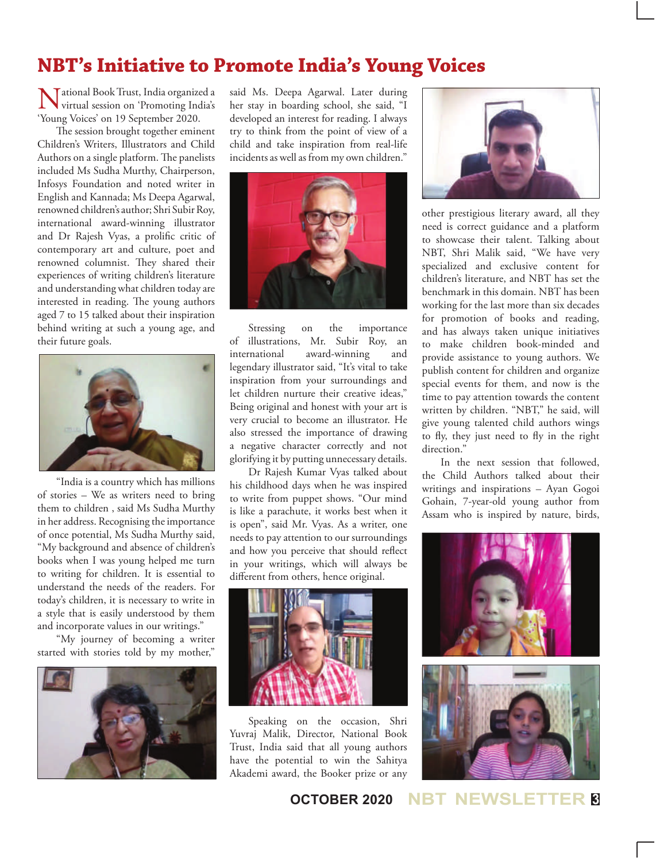# **NBT's Initiative to Promote India's Young Voices**

National Book Trust, India organized a virtual session on 'Promoting India's 'Young Voices' on 19 September 2020.

The session brought together eminent Children's Writers, Illustrators and Child Authors on a single platform. The panelists included Ms Sudha Murthy, Chairperson, Infosys Foundation and noted writer in English and Kannada; Ms Deepa Agarwal, renowned children's author; Shri Subir Roy, international award-winning illustrator and Dr Rajesh Vyas, a prolific critic of contemporary art and culture, poet and renowned columnist. They shared their experiences of writing children's literature and understanding what children today are interested in reading. The young authors aged 7 to 15 talked about their inspiration behind writing at such a young age, and their future goals.



"India is a country which has millions of stories – We as writers need to bring them to children , said Ms Sudha Murthy in her address. Recognising the importance of once potential, Ms Sudha Murthy said, "My background and absence of children's books when I was young helped me turn to writing for children. It is essential to understand the needs of the readers. For today's children, it is necessary to write in a style that is easily understood by them and incorporate values in our writings."

"My journey of becoming a writer started with stories told by my mother,"



said Ms. Deepa Agarwal. Later during her stay in boarding school, she said, "I developed an interest for reading. I always try to think from the point of view of a child and take inspiration from real-life incidents as well as from my own children."



Stressing on the importance of illustrations, Mr. Subir Roy, an international award-winning and legendary illustrator said, "It's vital to take inspiration from your surroundings and let children nurture their creative ideas," Being original and honest with your art is very crucial to become an illustrator. He also stressed the importance of drawing a negative character correctly and not glorifying it by putting unnecessary details.

Dr Rajesh Kumar Vyas talked about his childhood days when he was inspired to write from puppet shows. "Our mind is like a parachute, it works best when it is open", said Mr. Vyas. As a writer, one needs to pay attention to our surroundings and how you perceive that should reflect in your writings, which will always be different from others, hence original.



Speaking on the occasion, Shri Yuvraj Malik, Director, National Book Trust, India said that all young authors have the potential to win the Sahitya Akademi award, the Booker prize or any



other prestigious literary award, all they need is correct guidance and a platform to showcase their talent. Talking about NBT, Shri Malik said, "We have very specialized and exclusive content for children's literature, and NBT has set the benchmark in this domain. NBT has been working for the last more than six decades for promotion of books and reading, and has always taken unique initiatives to make children book-minded and provide assistance to young authors. We publish content for children and organize special events for them, and now is the time to pay attention towards the content written by children. "NBT," he said, will give young talented child authors wings to fly, they just need to fly in the right direction."

In the next session that followed, the Child Authors talked about their writings and inspirations – Ayan Gogoi Gohain, 7-year-old young author from Assam who is inspired by nature, birds,

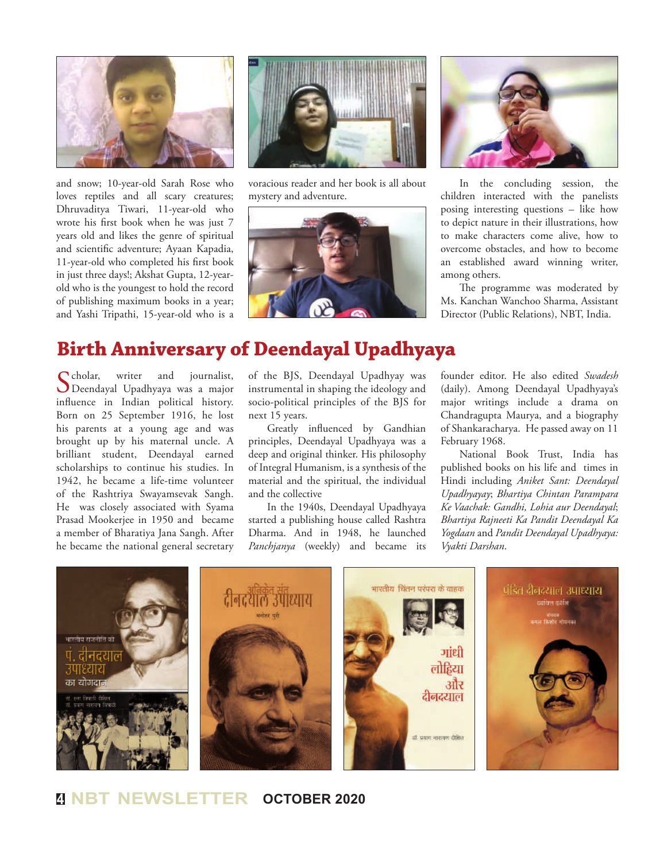

and snow; 10-year-old Sarah Rose who loves reptiles and all scary creatures; Dhruvaditya Tiwari, 11-year-old who wrote his first book when he was just 7 years old and likes the genre of spiritual and scientific adventure; Ayaan Kapadia, 11-year-old who completed his first book in just three days!; Akshat Gupta, 12-yearold who is the youngest to hold the record of publishing maximum books in a year; and Yashi Tripathi, 15-year-old who is a



voracious reader and her book is all about mystery and adventure.





In the concluding session, the children interacted with the panelists posing interesting questions – like how to depict nature in their illustrations, how to make characters come alive, how to overcome obstacles, and how to become an established award winning writer, among others.

The programme was moderated by Ms. Kanchan Wanchoo Sharma, Assistant Director (Public Relations), NBT, India.

## **Birth Anniversary of Deendayal Upadhyaya**

Scholar, writer and journalist,<br>Deendayal Upadhyaya was a major influence in Indian political history. Born on 25 September 1916, he lost his parents at a young age and was brought up by his maternal uncle. A brilliant student, Deendayal earned scholarships to continue his studies. In 1942, he became a life-time volunteer of the Rashtriya Swayamsevak Sangh. He was closely associated with Syama Prasad Mookerjee in 1950 and became a member of Bharatiya Jana Sangh. After he became the national general secretary

of the BJS, Deendayal Upadhyay was instrumental in shaping the ideology and socio-political principles of the BJS for next 15 years.

Greatly influenced by Gandhian principles, Deendayal Upadhyaya was a deep and original thinker. His philosophy of Integral Humanism, is a synthesis of the material and the spiritual, the individual and the collective

In the 1940s, Deendayal Upadhyaya started a publishing house called Rashtra Dharma. And in 1948, he launched *Panchjanya* (weekly) and became its

founder editor. He also edited *Swadesh* (daily). Among Deendayal Upadhyaya's major writings include a drama on Chandragupta Maurya, and a biography of Shankaracharya. He passed away on 11 February 1968.

National Book Trust, India has published books on his life and times in Hindi including *Aniket Sant: Deendayal Upadhyayay*; *Bhartiya Chintan Parampara Ke Vaachak: Gandhi, Lohia aur Deendayal*; *Bhartiya Rajneeti Ka Pandit Deendayal Ka Yogdaan* and *Pandit Deendayal Upadhyaya: Vyakti Darshan*.



## **<sup>4</sup> NBT NEWSLETTER OCTOBER 2020**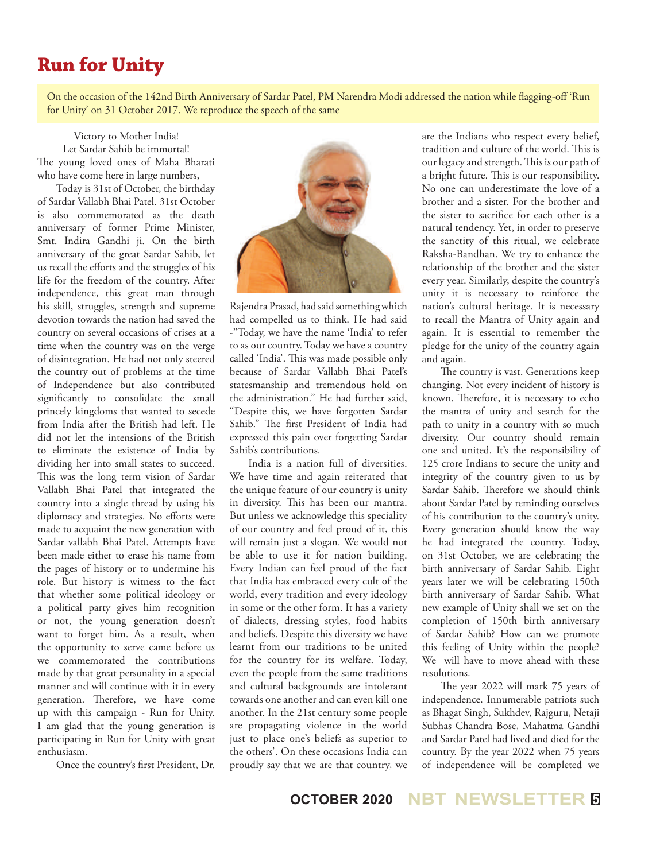## **Run for Unity**

On the occasion of the 142nd Birth Anniversary of Sardar Patel, PM Narendra Modi addressed the nation while flagging-off 'Run for Unity' on 31 October 2017. We reproduce the speech of the same

Victory to Mother India! Let Sardar Sahib be immortal! The young loved ones of Maha Bharati who have come here in large numbers,

Today is 31st of October, the birthday of Sardar Vallabh Bhai Patel. 31st October is also commemorated as the death anniversary of former Prime Minister, Smt. Indira Gandhi ji. On the birth anniversary of the great Sardar Sahib, let us recall the efforts and the struggles of his life for the freedom of the country. After independence, this great man through his skill, struggles, strength and supreme devotion towards the nation had saved the country on several occasions of crises at a time when the country was on the verge of disintegration. He had not only steered the country out of problems at the time of Independence but also contributed significantly to consolidate the small princely kingdoms that wanted to secede from India after the British had left. He did not let the intensions of the British to eliminate the existence of India by dividing her into small states to succeed. This was the long term vision of Sardar Vallabh Bhai Patel that integrated the country into a single thread by using his diplomacy and strategies. No efforts were made to acquaint the new generation with Sardar vallabh Bhai Patel. Attempts have been made either to erase his name from the pages of history or to undermine his role. But history is witness to the fact that whether some political ideology or a political party gives him recognition or not, the young generation doesn't want to forget him. As a result, when the opportunity to serve came before us we commemorated the contributions made by that great personality in a special manner and will continue with it in every generation. Therefore, we have come up with this campaign - Run for Unity. I am glad that the young generation is participating in Run for Unity with great enthusiasm.

Once the country's first President, Dr.



Rajendra Prasad, had said something which had compelled us to think. He had said -"Today, we have the name 'India' to refer to as our country. Today we have a country called 'India'. This was made possible only because of Sardar Vallabh Bhai Patel's statesmanship and tremendous hold on the administration." He had further said, "Despite this, we have forgotten Sardar Sahib." The first President of India had expressed this pain over forgetting Sardar Sahib's contributions.

India is a nation full of diversities. We have time and again reiterated that the unique feature of our country is unity in diversity. This has been our mantra. But unless we acknowledge this speciality of our country and feel proud of it, this will remain just a slogan. We would not be able to use it for nation building. Every Indian can feel proud of the fact that India has embraced every cult of the world, every tradition and every ideology in some or the other form. It has a variety of dialects, dressing styles, food habits and beliefs. Despite this diversity we have learnt from our traditions to be united for the country for its welfare. Today, even the people from the same traditions and cultural backgrounds are intolerant towards one another and can even kill one another. In the 21st century some people are propagating violence in the world just to place one's beliefs as superior to the others'. On these occasions India can proudly say that we are that country, we

are the Indians who respect every belief, tradition and culture of the world. This is our legacy and strength. This is our path of a bright future. This is our responsibility. No one can underestimate the love of a brother and a sister. For the brother and the sister to sacrifice for each other is a natural tendency. Yet, in order to preserve the sanctity of this ritual, we celebrate Raksha-Bandhan. We try to enhance the relationship of the brother and the sister every year. Similarly, despite the country's unity it is necessary to reinforce the nation's cultural heritage. It is necessary to recall the Mantra of Unity again and again. It is essential to remember the pledge for the unity of the country again and again.

The country is vast. Generations keep changing. Not every incident of history is known. Therefore, it is necessary to echo the mantra of unity and search for the path to unity in a country with so much diversity. Our country should remain one and united. It's the responsibility of 125 crore Indians to secure the unity and integrity of the country given to us by Sardar Sahib. Therefore we should think about Sardar Patel by reminding ourselves of his contribution to the country's unity. Every generation should know the way he had integrated the country. Today, on 31st October, we are celebrating the birth anniversary of Sardar Sahib. Eight years later we will be celebrating 150th birth anniversary of Sardar Sahib. What new example of Unity shall we set on the completion of 150th birth anniversary of Sardar Sahib? How can we promote this feeling of Unity within the people? We will have to move ahead with these resolutions.

The year 2022 will mark 75 years of independence. Innumerable patriots such as Bhagat Singh, Sukhdev, Rajguru, Netaji Subhas Chandra Bose, Mahatma Gandhi and Sardar Patel had lived and died for the country. By the year 2022 when 75 years of independence will be completed we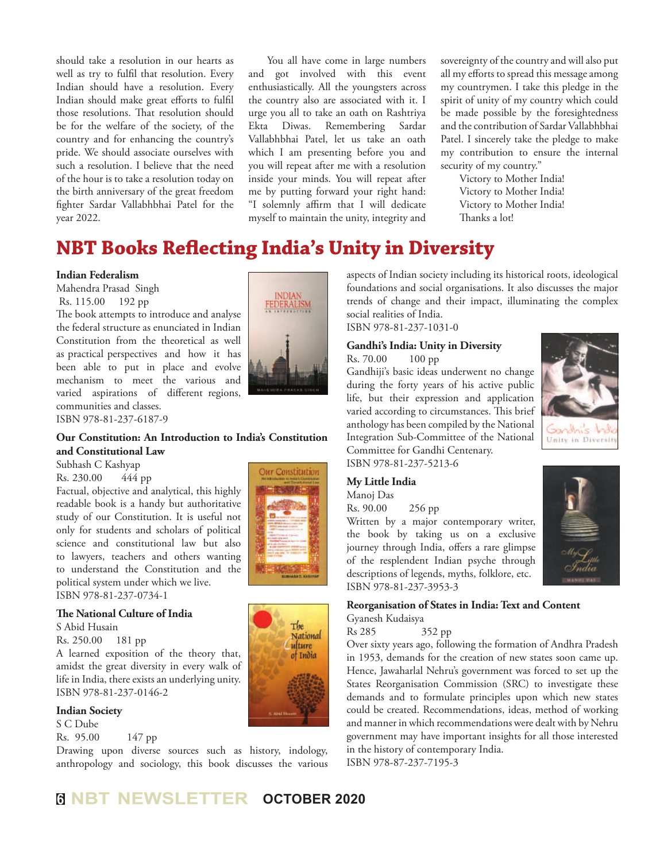should take a resolution in our hearts as well as try to fulfil that resolution. Every Indian should have a resolution. Every Indian should make great efforts to fulfil those resolutions. That resolution should be for the welfare of the society, of the country and for enhancing the country's pride. We should associate ourselves with such a resolution. I believe that the need of the hour is to take a resolution today on the birth anniversary of the great freedom fighter Sardar Vallabhbhai Patel for the year 2022.

You all have come in large numbers and got involved with this event enthusiastically. All the youngsters across the country also are associated with it. I urge you all to take an oath on Rashtriya Ekta Diwas. Remembering Sardar Vallabhbhai Patel, let us take an oath which I am presenting before you and you will repeat after me with a resolution inside your minds. You will repeat after me by putting forward your right hand: "I solemnly affirm that I will dedicate myself to maintain the unity, integrity and

sovereignty of the country and will also put all my efforts to spread this message among my countrymen. I take this pledge in the spirit of unity of my country which could be made possible by the foresightedness and the contribution of Sardar Vallabhbhai Patel. I sincerely take the pledge to make my contribution to ensure the internal security of my country."

> Victory to Mother India! Victory to Mother India! Victory to Mother India! Thanks a lot!

# **NBT Books Reflecting India's Unity in Diversity**

#### **Indian Federalism**

Mahendra Prasad Singh Rs. 115.00 192 pp

The book attempts to introduce and analyse the federal structure as enunciated in Indian Constitution from the theoretical as well as practical perspectives and how it has been able to put in place and evolve mechanism to meet the various and varied aspirations of different regions, communities and classes.

ISBN 978-81-237-6187-9

#### **Our Constitution: An Introduction to India's Constitution and Constitutional Law**

Subhash C Kashyap

Rs. 230.00 444 pp

Factual, objective and analytical, this highly readable book is a handy but authoritative study of our Constitution. It is useful not only for students and scholars of political science and constitutional law but also to lawyers, teachers and others wanting to understand the Constitution and the political system under which we live. ISBN 978-81-237-0734-1

#### **The National Culture of India**

S Abid Husain

Rs. 250.00 181 pp

A learned exposition of the theory that, amidst the great diversity in every walk of life in India, there exists an underlying unity. ISBN 978-81-237-0146-2

#### **Indian Society**

S C Dube Rs. 95.00 147 pp

Drawing upon diverse sources such as history, indology, anthropology and sociology, this book discusses the various



Our Constitution

The National ulture of India

aspects of Indian society including its historical roots, ideological foundations and social organisations. It also discusses the major trends of change and their impact, illuminating the complex social realities of India.

ISBN 978-81-237-1031-0

#### **Gandhi's India: Unity in Diversity** Rs. 70.00 100 pp

Gandhiji's basic ideas underwent no change during the forty years of his active public life, but their expression and application varied according to circumstances. This brief anthology has been compiled by the National Integration Sub-Committee of the National Committee for Gandhi Centenary. ISBN 978-81-237-5213-6



#### **My Little India**

Manoj Das Rs. 90.00 256 pp Written by a major contemporary writer, the book by taking us on a exclusive journey through India, offers a rare glimpse of the resplendent Indian psyche through descriptions of legends, myths, folklore, etc. ISBN 978-81-237-3953-3



**Reorganisation of States in India: Text and Content** Gyanesh Kudaisya

Rs 285 352 pp

Over sixty years ago, following the formation of Andhra Pradesh in 1953, demands for the creation of new states soon came up. Hence, Jawaharlal Nehru's government was forced to set up the States Reorganisation Commission (SRC) to investigate these demands and to formulate principles upon which new states could be created. Recommendations, ideas, method of working and manner in which recommendations were dealt with by Nehru government may have important insights for all those interested in the history of contemporary India. ISBN 978-87-237-7195-3

**<sup>6</sup> NBT NEWSLETTER OCTOBER 2020**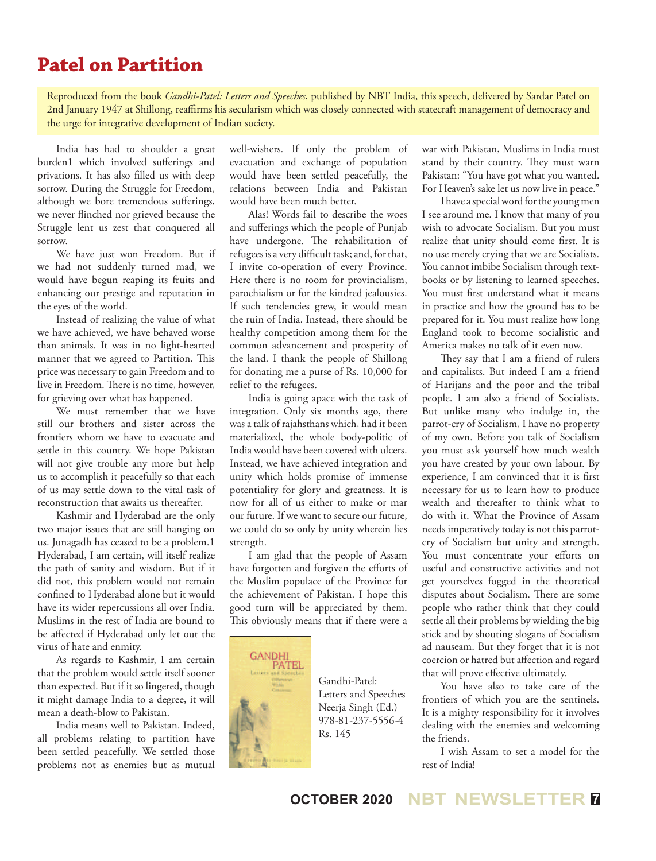## **Patel on Partition**

Reproduced from the book *Gandhi-Patel: Letters and Speeches*, published by NBT India, this speech, delivered by Sardar Patel on 2nd January 1947 at Shillong, reaffirms his secularism which was closely connected with statecraft management of democracy and the urge for integrative development of Indian society.

India has had to shoulder a great burden1 which involved sufferings and privations. It has also filled us with deep sorrow. During the Struggle for Freedom, although we bore tremendous sufferings, we never flinched nor grieved because the Struggle lent us zest that conquered all sorrow.

We have just won Freedom. But if we had not suddenly turned mad, we would have begun reaping its fruits and enhancing our prestige and reputation in the eyes of the world.

Instead of realizing the value of what we have achieved, we have behaved worse than animals. It was in no light-hearted manner that we agreed to Partition. This price was necessary to gain Freedom and to live in Freedom. There is no time, however, for grieving over what has happened.

We must remember that we have still our brothers and sister across the frontiers whom we have to evacuate and settle in this country. We hope Pakistan will not give trouble any more but help us to accomplish it peacefully so that each of us may settle down to the vital task of reconstruction that awaits us thereafter.

Kashmir and Hyderabad are the only two major issues that are still hanging on us. Junagadh has ceased to be a problem.1 Hyderabad, I am certain, will itself realize the path of sanity and wisdom. But if it did not, this problem would not remain confined to Hyderabad alone but it would have its wider repercussions all over India. Muslims in the rest of India are bound to be affected if Hyderabad only let out the virus of hate and enmity.

As regards to Kashmir, I am certain that the problem would settle itself sooner than expected. But if it so lingered, though it might damage India to a degree, it will mean a death-blow to Pakistan.

India means well to Pakistan. Indeed, all problems relating to partition have been settled peacefully. We settled those problems not as enemies but as mutual well-wishers. If only the problem of evacuation and exchange of population would have been settled peacefully, the relations between India and Pakistan would have been much better.

Alas! Words fail to describe the woes and sufferings which the people of Punjab have undergone. The rehabilitation of refugees is a very difficult task; and, for that, I invite co-operation of every Province. Here there is no room for provincialism, parochialism or for the kindred jealousies. If such tendencies grew, it would mean the ruin of India. Instead, there should be healthy competition among them for the common advancement and prosperity of the land. I thank the people of Shillong for donating me a purse of Rs. 10,000 for relief to the refugees.

India is going apace with the task of integration. Only six months ago, there was a talk of rajahsthans which, had it been materialized, the whole body-politic of India would have been covered with ulcers. Instead, we have achieved integration and unity which holds promise of immense potentiality for glory and greatness. It is now for all of us either to make or mar our future. If we want to secure our future, we could do so only by unity wherein lies strength.

I am glad that the people of Assam have forgotten and forgiven the efforts of the Muslim populace of the Province for the achievement of Pakistan. I hope this good turn will be appreciated by them. This obviously means that if there were a



Gandhi-Patel: Letters and Speeches Neerja Singh (Ed.) 978-81-237-5556-4 Rs. 145

war with Pakistan, Muslims in India must stand by their country. They must warn Pakistan: "You have got what you wanted. For Heaven's sake let us now live in peace."

I have a special word for the young men I see around me. I know that many of you wish to advocate Socialism. But you must realize that unity should come first. It is no use merely crying that we are Socialists. You cannot imbibe Socialism through textbooks or by listening to learned speeches. You must first understand what it means in practice and how the ground has to be prepared for it. You must realize how long England took to become socialistic and America makes no talk of it even now.

They say that I am a friend of rulers and capitalists. But indeed I am a friend of Harijans and the poor and the tribal people. I am also a friend of Socialists. But unlike many who indulge in, the parrot-cry of Socialism, I have no property of my own. Before you talk of Socialism you must ask yourself how much wealth you have created by your own labour. By experience, I am convinced that it is first necessary for us to learn how to produce wealth and thereafter to think what to do with it. What the Province of Assam needs imperatively today is not this parrotcry of Socialism but unity and strength. You must concentrate your efforts on useful and constructive activities and not get yourselves fogged in the theoretical disputes about Socialism. There are some people who rather think that they could settle all their problems by wielding the big stick and by shouting slogans of Socialism ad nauseam. But they forget that it is not coercion or hatred but affection and regard that will prove effective ultimately.

You have also to take care of the frontiers of which you are the sentinels. It is a mighty responsibility for it involves dealing with the enemies and welcoming the friends.

I wish Assam to set a model for the rest of India!